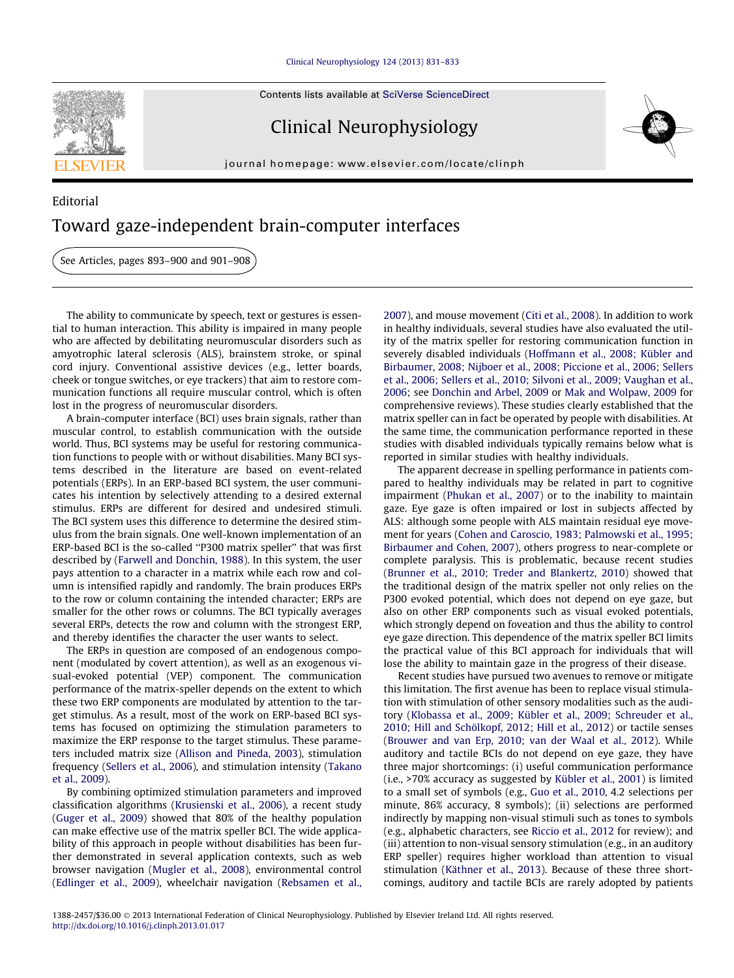## [Clinical Neurophysiology 124 \(2013\) 831–833](http://dx.doi.org/10.1016/j.clinph.2013.01.017)

Contents lists available at [SciVerse ScienceDirect](http://www.sciencedirect.com/science/journal/13882457)

## Clinical Neurophysiology

journal homepage: [www.elsevier.com/locate/clinph](http://www.elsevier.com/locate/clinph)



## Editorial Toward gaze-independent brain-computer interfaces

See Articles, pages 893–900 and 901–908

The ability to communicate by speech, text or gestures is essential to human interaction. This ability is impaired in many people who are affected by debilitating neuromuscular disorders such as amyotrophic lateral sclerosis (ALS), brainstem stroke, or spinal cord injury. Conventional assistive devices (e.g., letter boards, cheek or tongue switches, or eye trackers) that aim to restore communication functions all require muscular control, which is often lost in the progress of neuromuscular disorders.

A brain-computer interface (BCI) uses brain signals, rather than muscular control, to establish communication with the outside world. Thus, BCI systems may be useful for restoring communication functions to people with or without disabilities. Many BCI systems described in the literature are based on event-related potentials (ERPs). In an ERP-based BCI system, the user communicates his intention by selectively attending to a desired external stimulus. ERPs are different for desired and undesired stimuli. The BCI system uses this difference to determine the desired stimulus from the brain signals. One well-known implementation of an ERP-based BCI is the so-called ''P300 matrix speller'' that was first described by [\(Farwell and Donchin, 1988\)](#page-1-0). In this system, the user pays attention to a character in a matrix while each row and column is intensified rapidly and randomly. The brain produces ERPs to the row or column containing the intended character; ERPs are smaller for the other rows or columns. The BCI typically averages several ERPs, detects the row and column with the strongest ERP, and thereby identifies the character the user wants to select.

The ERPs in question are composed of an endogenous component (modulated by covert attention), as well as an exogenous visual-evoked potential (VEP) component. The communication performance of the matrix-speller depends on the extent to which these two ERP components are modulated by attention to the target stimulus. As a result, most of the work on ERP-based BCI systems has focused on optimizing the stimulation parameters to maximize the ERP response to the target stimulus. These parameters included matrix size ([Allison and Pineda, 2003\)](#page-1-0), stimulation frequency [\(Sellers et al., 2006](#page-2-0)), and stimulation intensity [\(Takano](#page-2-0) [et al., 2009\)](#page-2-0).

By combining optimized stimulation parameters and improved classification algorithms [\(Krusienski et al., 2006](#page-1-0)), a recent study ([Guger et al., 2009](#page-1-0)) showed that 80% of the healthy population can make effective use of the matrix speller BCI. The wide applicability of this approach in people without disabilities has been further demonstrated in several application contexts, such as web browser navigation ([Mugler et al., 2008\)](#page-1-0), environmental control ([Edlinger et al., 2009](#page-1-0)), wheelchair navigation ([Rebsamen et al.,](#page-1-0) [2007](#page-1-0)), and mouse movement ([Citi et al., 2008\)](#page-1-0). In addition to work in healthy individuals, several studies have also evaluated the utility of the matrix speller for restoring communication function in severely disabled individuals [\(Hoffmann et al., 2008; Kübler and](#page-1-0) [Birbaumer, 2008; Nijboer et al., 2008; Piccione et al., 2006; Sellers](#page-1-0) [et al., 2006; Sellers et al., 2010; Silvoni et al., 2009; Vaughan et al.,](#page-1-0) [2006](#page-1-0); see [Donchin and Arbel, 2009](#page-1-0) or [Mak and Wolpaw, 2009](#page-1-0) for comprehensive reviews). These studies clearly established that the matrix speller can in fact be operated by people with disabilities. At the same time, the communication performance reported in these studies with disabled individuals typically remains below what is reported in similar studies with healthy individuals.

The apparent decrease in spelling performance in patients compared to healthy individuals may be related in part to cognitive impairment ([Phukan et al., 2007](#page-1-0)) or to the inability to maintain gaze. Eye gaze is often impaired or lost in subjects affected by ALS: although some people with ALS maintain residual eye movement for years [\(Cohen and Caroscio, 1983; Palmowski et al., 1995;](#page-1-0) [Birbaumer and Cohen, 2007\)](#page-1-0), others progress to near-complete or complete paralysis. This is problematic, because recent studies ([Brunner et al., 2010; Treder and Blankertz, 2010](#page-1-0)) showed that the traditional design of the matrix speller not only relies on the P300 evoked potential, which does not depend on eye gaze, but also on other ERP components such as visual evoked potentials, which strongly depend on foveation and thus the ability to control eye gaze direction. This dependence of the matrix speller BCI limits the practical value of this BCI approach for individuals that will lose the ability to maintain gaze in the progress of their disease.

Recent studies have pursued two avenues to remove or mitigate this limitation. The first avenue has been to replace visual stimulation with stimulation of other sensory modalities such as the auditory ([Klobassa et al., 2009; Kübler et al., 2009; Schreuder et al.,](#page-1-0) [2010; Hill and Schölkopf, 2012; Hill et al., 2012](#page-1-0)) or tactile senses ([Brouwer and van Erp, 2010; van der Waal et al., 2012](#page-1-0)). While auditory and tactile BCIs do not depend on eye gaze, they have three major shortcomings: (i) useful communication performance (i.e., >70% accuracy as suggested by [Kübler et al., 2001\)](#page-1-0) is limited to a small set of symbols (e.g., [Guo et al., 2010](#page-1-0), 4.2 selections per minute, 86% accuracy, 8 symbols); (ii) selections are performed indirectly by mapping non-visual stimuli such as tones to symbols (e.g., alphabetic characters, see [Riccio et al., 2012](#page-2-0) for review); and (iii) attention to non-visual sensory stimulation (e.g., in an auditory ERP speller) requires higher workload than attention to visual stimulation ([Käthner et al., 2013](#page-1-0)). Because of these three shortcomings, auditory and tactile BCIs are rarely adopted by patients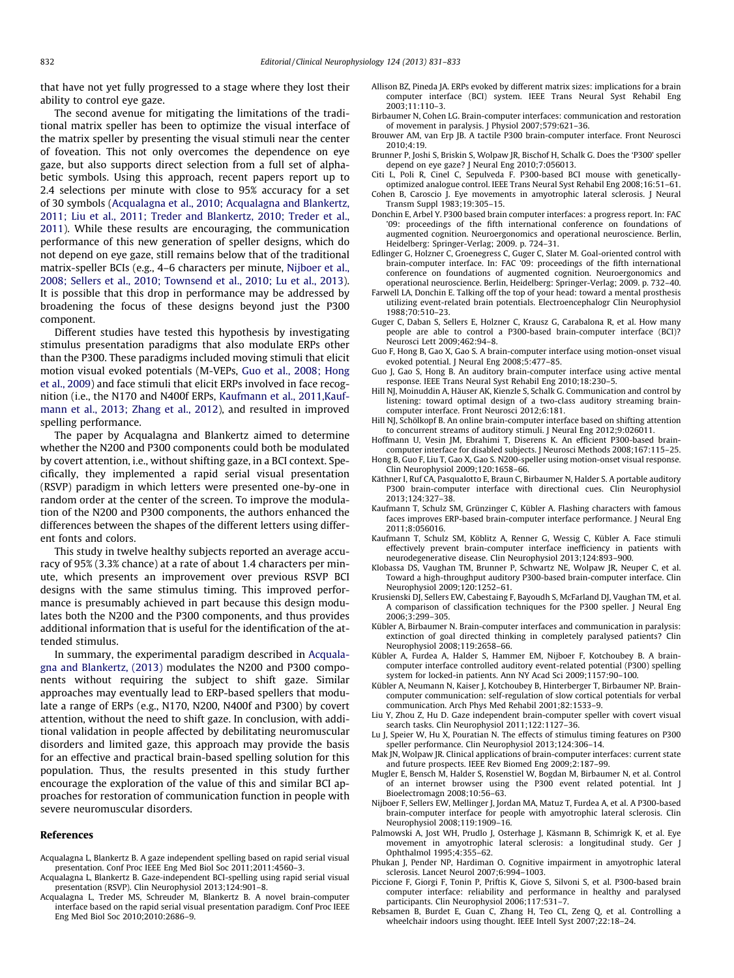<span id="page-1-0"></span>that have not yet fully progressed to a stage where they lost their ability to control eye gaze.

The second avenue for mitigating the limitations of the traditional matrix speller has been to optimize the visual interface of the matrix speller by presenting the visual stimuli near the center of foveation. This not only overcomes the dependence on eye gaze, but also supports direct selection from a full set of alphabetic symbols. Using this approach, recent papers report up to 2.4 selections per minute with close to 95% accuracy for a set of 30 symbols (Acqualagna et al., 2010; Acqualagna and Blankertz, 2011; Liu et al., 2011; Treder and Blankertz, 2010; Treder et al., 2011). While these results are encouraging, the communication performance of this new generation of speller designs, which do not depend on eye gaze, still remains below that of the traditional matrix-speller BCIs (e.g., 4–6 characters per minute, Nijboer et al., 2008; Sellers et al., 2010; Townsend et al., 2010; Lu et al., 2013). It is possible that this drop in performance may be addressed by broadening the focus of these designs beyond just the P300 component.

Different studies have tested this hypothesis by investigating stimulus presentation paradigms that also modulate ERPs other than the P300. These paradigms included moving stimuli that elicit motion visual evoked potentials (M-VEPs, Guo et al., 2008; Hong et al., 2009) and face stimuli that elicit ERPs involved in face recognition (i.e., the N170 and N400f ERPs, Kaufmann et al., 2011,Kaufmann et al., 2013; Zhang et al., 2012), and resulted in improved spelling performance.

The paper by Acqualagna and Blankertz aimed to determine whether the N200 and P300 components could both be modulated by covert attention, i.e., without shifting gaze, in a BCI context. Specifically, they implemented a rapid serial visual presentation (RSVP) paradigm in which letters were presented one-by-one in random order at the center of the screen. To improve the modulation of the N200 and P300 components, the authors enhanced the differences between the shapes of the different letters using different fonts and colors.

This study in twelve healthy subjects reported an average accuracy of 95% (3.3% chance) at a rate of about 1.4 characters per minute, which presents an improvement over previous RSVP BCI designs with the same stimulus timing. This improved performance is presumably achieved in part because this design modulates both the N200 and the P300 components, and thus provides additional information that is useful for the identification of the attended stimulus.

In summary, the experimental paradigm described in Acqualagna and Blankertz, (2013) modulates the N200 and P300 components without requiring the subject to shift gaze. Similar approaches may eventually lead to ERP-based spellers that modulate a range of ERPs (e.g., N170, N200, N400f and P300) by covert attention, without the need to shift gaze. In conclusion, with additional validation in people affected by debilitating neuromuscular disorders and limited gaze, this approach may provide the basis for an effective and practical brain-based spelling solution for this population. Thus, the results presented in this study further encourage the exploration of the value of this and similar BCI approaches for restoration of communication function in people with severe neuromuscular disorders.

## References

- Acqualagna L, Blankertz B. A gaze independent spelling based on rapid serial visual presentation. Conf Proc IEEE Eng Med Biol Soc 2011;2011:4560–3.
- Acqualagna L, Blankertz B. Gaze-independent BCI-spelling using rapid serial visual presentation (RSVP). Clin Neurophysiol 2013;124:901–8.
- Acqualagna L, Treder MS, Schreuder M, Blankertz B. A novel brain-computer interface based on the rapid serial visual presentation paradigm. Conf Proc IEEE Eng Med Biol Soc 2010;2010:2686–9.
- Allison BZ, Pineda JA. ERPs evoked by different matrix sizes: implications for a brain computer interface (BCI) system. IEEE Trans Neural Syst Rehabil Eng 2003;11:110–3.
- Birbaumer N, Cohen LG. Brain-computer interfaces: communication and restoration of movement in paralysis. J Physiol 2007;579:621–36.
- Brouwer AM, van Erp JB. A tactile P300 brain-computer interface. Front Neurosci 2010;4:19.
- Brunner P, Joshi S, Briskin S, Wolpaw JR, Bischof H, Schalk G. Does the 'P300' speller depend on eye gaze? J Neural Eng 2010;7:056013.
- Citi L, Poli R, Cinel C, Sepulveda F. P300-based BCI mouse with geneticallyoptimized analogue control. IEEE Trans Neural Syst Rehabil Eng 2008;16:51–61.
- Cohen B, Caroscio J. Eye movements in amyotrophic lateral sclerosis. J Neural Transm Suppl 1983;19:305–15.
- Donchin E, Arbel Y. P300 based brain computer interfaces: a progress report. In: FAC '09: proceedings of the fifth international conference on foundations of augmented cognition. Neuroergonomics and operational neuroscience. Berlin, Heidelberg: Springer-Verlag; 2009. p. 724–31.
- Edlinger G, Holzner C, Groenegress C, Guger C, Slater M. Goal-oriented control with brain-computer interface. In: FAC '09: proceedings of the fifth international conference on foundations of augmented cognition. Neuroergonomics and operational neuroscience. Berlin, Heidelberg: Springer-Verlag; 2009. p. 732–40.
- Farwell LA, Donchin E. Talking off the top of your head: toward a mental prosthesis utilizing event-related brain potentials. Electroencephalogr Clin Neurophysiol 1988;70:510–23.
- Guger C, Daban S, Sellers E, Holzner C, Krausz G, Carabalona R, et al. How many people are able to control a P300-based brain-computer interface (BCI)? Neurosci Lett 2009;462:94–8.
- Guo F, Hong B, Gao X, Gao S. A brain-computer interface using motion-onset visual evoked potential. J Neural Eng 2008;5:477–85.
- Guo J, Gao S, Hong B. An auditory brain-computer interface using active mental response. IEEE Trans Neural Syst Rehabil Eng 2010;18:230–5.
- Hill NJ, Moinuddin A, Häuser AK, Kienzle S, Schalk G. Communication and control by listening: toward optimal design of a two-class auditory streaming braincomputer interface. Front Neurosci 2012;6:181.
- Hill NJ, Schölkopf B. An online brain-computer interface based on shifting attention to concurrent streams of auditory stimuli. J Neural Eng 2012;9:026011.
- Hoffmann U, Vesin JM, Ebrahimi T, Diserens K. An efficient P300-based braincomputer interface for disabled subjects. J Neurosci Methods 2008;167:115–25. Hong B, Guo F, Liu T, Gao X, Gao S. N200-speller using motion-onset visual response.
- Clin Neurophysiol 2009;120:1658–66. Käthner I, Ruf CA, Pasqualotto E, Braun C, Birbaumer N, Halder S. A portable auditory
- P300 brain-computer interface with directional cues. Clin Neurophysiol 2013;124:327–38.
- Kaufmann T, Schulz SM, Grünzinger C, Kübler A. Flashing characters with famous faces improves ERP-based brain-computer interface performance. J Neural Eng 2011;8:056016.
- Kaufmann T, Schulz SM, Köblitz A, Renner G, Wessig C, Kübler A. Face stimuli effectively prevent brain-computer interface inefficiency in patients with neurodegenerative disease. Clin Neurophysiol 2013;124:893–900.
- Klobassa DS, Vaughan TM, Brunner P, Schwartz NE, Wolpaw JR, Neuper C, et al. Toward a high-throughput auditory P300-based brain-computer interface. Clin Neurophysiol 2009;120:1252–61.
- Krusienski DJ, Sellers EW, Cabestaing F, Bayoudh S, McFarland DJ, Vaughan TM, et al. A comparison of classification techniques for the P300 speller. J Neural Eng 2006;3:299–305.
- Kübler A, Birbaumer N. Brain-computer interfaces and communication in paralysis: extinction of goal directed thinking in completely paralysed patients? Clin Neurophysiol 2008;119:2658–66.
- Kübler A, Furdea A, Halder S, Hammer EM, Nijboer F, Kotchoubey B. A braincomputer interface controlled auditory event-related potential (P300) spelling system for locked-in patients. Ann NY Acad Sci 2009;1157:90–100.
- Kübler A, Neumann N, Kaiser J, Kotchoubey B, Hinterberger T, Birbaumer NP. Braincomputer communication: self-regulation of slow cortical potentials for verbal communication. Arch Phys Med Rehabil 2001;82:1533–9.
- Liu Y, Zhou Z, Hu D. Gaze independent brain-computer speller with covert visual search tasks. Clin Neurophysiol 2011;122:1127–36.
- Lu J, Speier W, Hu X, Pouratian N. The effects of stimulus timing features on P300 speller performance. Clin Neurophysiol 2013;124:306–14.
- Mak JN, Wolpaw JR. Clinical applications of brain-computer interfaces: current state and future prospects. IEEE Rev Biomed Eng 2009;2:187–99.
- Mugler E, Bensch M, Halder S, Rosenstiel W, Bogdan M, Birbaumer N, et al. Control of an internet browser using the P300 event related potential. Int J Bioelectromagn 2008;10:56–63.
- Nijboer F, Sellers EW, Mellinger J, Jordan MA, Matuz T, Furdea A, et al. A P300-based brain-computer interface for people with amyotrophic lateral sclerosis. Clin Neurophysiol 2008;119:1909–16.
- Palmowski A, Jost WH, Prudlo J, Osterhage J, Käsmann B, Schimrigk K, et al. Eye movement in amyotrophic lateral sclerosis: a longitudinal study. Ger J Ophthalmol 1995;4:355–62.
- Phukan J, Pender NP, Hardiman O. Cognitive impairment in amyotrophic lateral sclerosis. Lancet Neurol 2007;6:994–1003.
- Piccione F, Giorgi F, Tonin P, Priftis K, Giove S, Silvoni S, et al. P300-based brain computer interface: reliability and performance in healthy and paralysed participants. Clin Neurophysiol 2006;117:531–7.
- Rebsamen B, Burdet E, Guan C, Zhang H, Teo CL, Zeng Q, et al. Controlling a wheelchair indoors using thought. IEEE Intell Syst 2007;22:18–24.